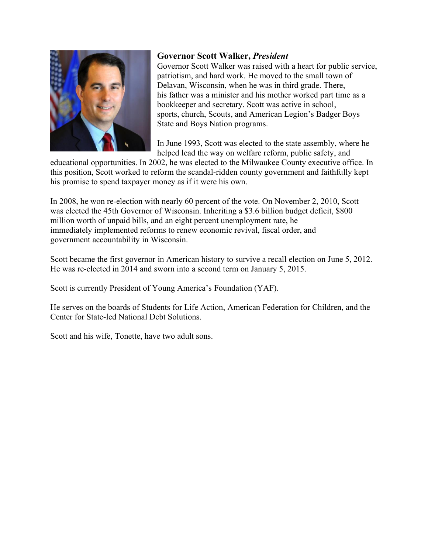

### **Governor Scott Walker,** *President*

Governor Scott Walker was raised with a heart for public service, patriotism, and hard work. He moved to the small town of Delavan, Wisconsin, when he was in third grade. There, his father was a minister and his mother worked part time as a bookkeeper and secretary. Scott was active in school, sports, church, Scouts, and American Legion's Badger Boys State and Boys Nation programs.

In June 1993, Scott was elected to the state assembly, where he helped lead the way on welfare reform, public safety, and

educational opportunities. In 2002, he was elected to the Milwaukee County executive office. In this position, Scott worked to reform the scandal-ridden county government and faithfully kept his promise to spend taxpayer money as if it were his own.

In 2008, he won re-election with nearly 60 percent of the vote. On November 2, 2010, Scott was elected the 45th Governor of Wisconsin. Inheriting a \$3.6 billion budget deficit, \$800 million worth of unpaid bills, and an eight percent unemployment rate, he immediately implemented reforms to renew economic revival, fiscal order, and government accountability in Wisconsin.

Scott became the first governor in American history to survive a recall election on June 5, 2012. He was re-elected in 2014 and sworn into a second term on January 5, 2015.

Scott is currently President of Young America's Foundation (YAF).

He serves on the boards of Students for Life Action, American Federation for Children, and the Center for State-led National Debt Solutions.

Scott and his wife, Tonette, have two adult sons.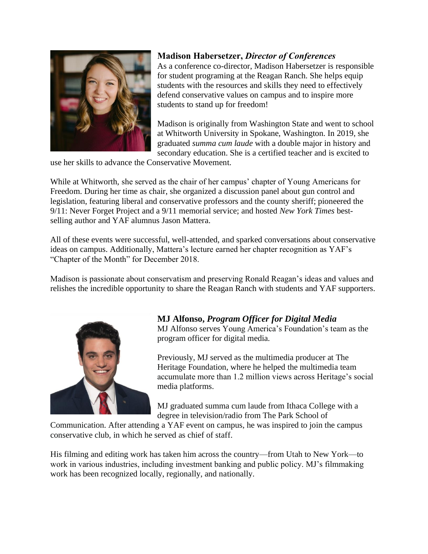

#### **Madison Habersetzer,** *Director of Conferences*

As a conference co-director, Madison Habersetzer is responsible for student programing at the Reagan Ranch. She helps equip students with the resources and skills they need to effectively defend conservative values on campus and to inspire more students to stand up for freedom!

Madison is originally from Washington State and went to school at Whitworth University in Spokane, Washington. In 2019, she graduated *summa cum laude* with a double major in history and secondary education. She is a certified teacher and is excited to

use her skills to advance the Conservative Movement.

While at Whitworth, she served as the chair of her campus' chapter of Young Americans for Freedom. During her time as chair, she organized a discussion panel about gun control and legislation, featuring liberal and conservative professors and the county sheriff; pioneered the 9/11: Never Forget Project and a 9/11 memorial service; and hosted *New York Times* bestselling author and YAF alumnus Jason Mattera.

All of these events were successful, well-attended, and sparked conversations about conservative ideas on campus. Additionally, Mattera's lecture earned her chapter recognition as YAF's "Chapter of the Month" for December 2018.

Madison is passionate about conservatism and preserving Ronald Reagan's ideas and values and relishes the incredible opportunity to share the Reagan Ranch with students and YAF supporters.



# **MJ Alfonso,** *Program Officer for Digital Media*

MJ Alfonso serves Young America's Foundation's team as the program officer for digital media.

Previously, MJ served as the multimedia producer at The Heritage Foundation, where he helped the multimedia team accumulate more than 1.2 million views across Heritage's social media platforms.

MJ graduated summa cum laude from Ithaca College with a degree in television/radio from The Park School of

Communication. After attending a YAF event on campus, he was inspired to join the campus conservative club, in which he served as chief of staff.

His filming and editing work has taken him across the country—from Utah to New York—to work in various industries, including investment banking and public policy. MJ's filmmaking work has been recognized locally, regionally, and nationally.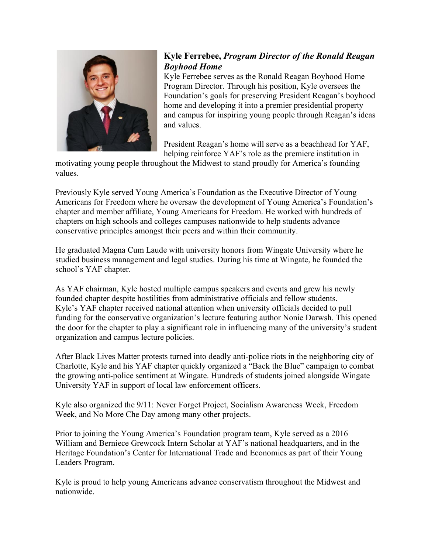

## **Kyle Ferrebee,** *Program Director of the Ronald Reagan Boyhood Home*

Kyle Ferrebee serves as the Ronald Reagan Boyhood Home Program Director. Through his position, Kyle oversees the Foundation's goals for preserving President Reagan's boyhood home and developing it into a premier presidential property and campus for inspiring young people through Reagan's ideas and values.

President Reagan's home will serve as a beachhead for YAF, helping reinforce YAF's role as the premiere institution in

motivating young people throughout the Midwest to stand proudly for America's founding values.

Previously Kyle served Young America's Foundation as the Executive Director of Young Americans for Freedom where he oversaw the development of Young America's Foundation's chapter and member affiliate, Young Americans for Freedom. He worked with hundreds of chapters on high schools and colleges campuses nationwide to help students advance conservative principles amongst their peers and within their community.

He graduated Magna Cum Laude with university honors from Wingate University where he studied business management and legal studies. During his time at Wingate, he founded the school's YAF chapter.

As YAF chairman, Kyle hosted multiple campus speakers and events and grew his newly founded chapter despite hostilities from administrative officials and fellow students. Kyle's YAF chapter received national attention when university officials decided to pull funding for the conservative organization's lecture featuring author Nonie Darwsh. This opened the door for the chapter to play a significant role in influencing many of the university's student organization and campus lecture policies.

After Black Lives Matter protests turned into deadly anti-police riots in the neighboring city of Charlotte, Kyle and his YAF chapter quickly organized a "Back the Blue" campaign to combat the growing anti-police sentiment at Wingate. Hundreds of students joined alongside Wingate University YAF in support of local law enforcement officers.

Kyle also organized the 9/11: Never Forget Project, Socialism Awareness Week, Freedom Week, and No More Che Day among many other projects.

Prior to joining the Young America's Foundation program team, Kyle served as a 2016 William and Berniece Grewcock Intern Scholar at YAF's national headquarters, and in the Heritage Foundation's Center for International Trade and Economics as part of their Young Leaders Program.

Kyle is proud to help young Americans advance conservatism throughout the Midwest and nationwide.